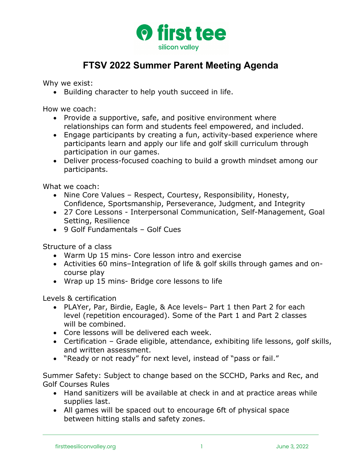

## **FTSV 2022 Summer Parent Meeting Agenda**

Why we exist:

• Building character to help youth succeed in life.

How we coach:

- Provide a supportive, safe, and positive environment where relationships can form and students feel empowered, and included.
- Engage participants by creating a fun, activity-based experience where participants learn and apply our life and golf skill curriculum through participation in our games.
- Deliver process-focused coaching to build a growth mindset among our participants.

What we coach:

- Nine Core Values Respect, Courtesy, Responsibility, Honesty, Confidence, Sportsmanship, Perseverance, Judgment, and Integrity
- 27 Core Lessons Interpersonal Communication, Self-Management, Goal Setting, Resilience
- 9 Golf Fundamentals Golf Cues

Structure of a class

- Warm Up 15 mins- Core lesson intro and exercise
- Activities 60 mins–Integration of life & golf skills through games and oncourse play
- Wrap up 15 mins- Bridge core lessons to life

Levels & certification

- PLAYer, Par, Birdie, Eagle, & Ace levels– Part 1 then Part 2 for each level (repetition encouraged). Some of the Part 1 and Part 2 classes will be combined.
- Core lessons will be delivered each week.
- Certification Grade eligible, attendance, exhibiting life lessons, golf skills, and written assessment.
- "Ready or not ready" for next level, instead of "pass or fail."

Summer Safety: Subject to change based on the SCCHD, Parks and Rec, and Golf Courses Rules

- Hand sanitizers will be available at check in and at practice areas while supplies last.
- All games will be spaced out to encourage 6ft of physical space between hitting stalls and safety zones.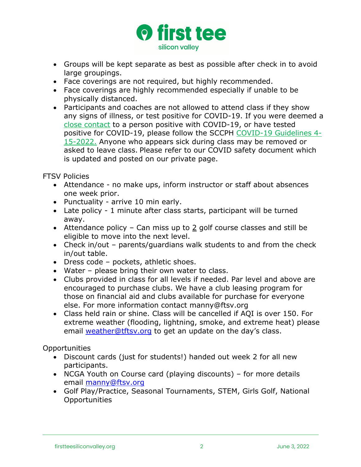

- Groups will be kept separate as best as possible after check in to avoid large groupings.
- Face coverings are not required, but highly recommended.
- Face coverings are highly recommended especially if unable to be physically distanced.
- Participants and coaches are not allowed to attend class if they show any signs of illness, or test positive for COVID-19. If you were deemed a close contact to a person positive with COVID-19, or have tested positive for COVID-19, please follow the SCCPH COVID-19 Guidelines 4- 15-2022. Anyone who appears sick during class may be removed or asked to leave class. Please refer to our COVID safety document which is updated and posted on our private page.

FTSV Policies

- Attendance no make ups, inform instructor or staff about absences one week prior.
- Punctuality arrive 10 min early.
- Late policy 1 minute after class starts, participant will be turned away.
- Attendance policy Can miss up to 2 golf course classes and still be eligible to move into the next level.
- Check in/out parents/guardians walk students to and from the check in/out table.
- Dress code pockets, athletic shoes.
- Water please bring their own water to class.
- Clubs provided in class for all levels if needed. Par level and above are encouraged to purchase clubs. We have a club leasing program for those on financial aid and clubs available for purchase for everyone else. For more information contact manny@ftsv.org
- Class held rain or shine. Class will be cancelled if AQI is over 150. For extreme weather (flooding, lightning, smoke, and extreme heat) please email weather@tftsv.org to get an update on the day's class.

Opportunities

- Discount cards (just for students!) handed out week 2 for all new participants.
- NCGA Youth on Course card (playing discounts) for more details email manny@ftsv.org
- Golf Play/Practice, Seasonal Tournaments, STEM, Girls Golf, National Opportunities